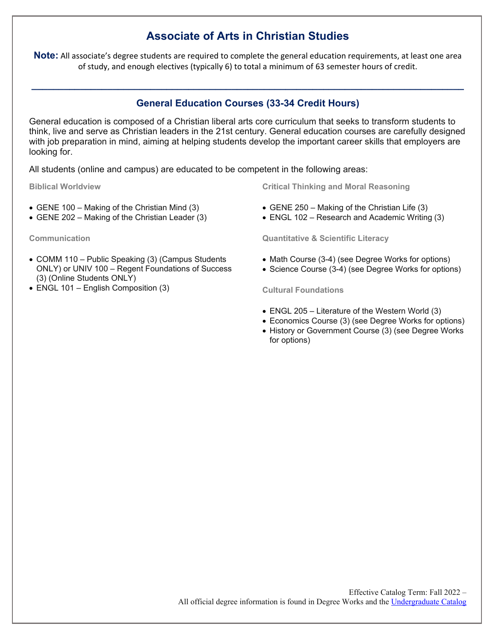## **Associate of Arts in Christian Studies**

**Note:** All associate's degree students are required to complete the general education requirements, at least one area of study, and enough electives (typically 6) to total a minimum of 63 semester hours of credit.

## **General Education Courses (33-34 Credit Hours)**

**\_\_\_\_\_\_\_\_\_\_\_\_\_\_\_\_\_\_\_\_\_\_\_\_\_\_\_\_\_\_\_\_\_\_\_\_\_\_\_\_\_\_\_\_\_\_\_\_\_\_\_\_\_\_\_\_\_\_\_\_\_\_\_\_\_\_\_\_\_\_\_\_\_\_\_\_\_\_\_\_**

General education is composed of a Christian liberal arts core curriculum that seeks to transform students to think, live and serve as Christian leaders in the 21st century. General education courses are carefully designed with job preparation in mind, aiming at helping students develop the important career skills that employers are looking for.

All students (online and campus) are educated to be competent in the following areas:

**Biblical Worldview**

- GENE 100 Making of the Christian Mind (3)
- GENE 202 Making of the Christian Leader (3)

**Communication**

- COMM 110 Public Speaking (3) (Campus Students ONLY) or UNIV 100 – Regent Foundations of Success (3) (Online Students ONLY)
- ENGL 101 English Composition (3)

**Critical Thinking and Moral Reasoning**

- GENE 250 Making of the Christian Life (3)
- ENGL 102 Research and Academic Writing (3)

**Quantitative & Scientific Literacy**

- Math Course (3-4) (see Degree Works for options)
- Science Course (3-4) (see Degree Works for options)

**Cultural Foundations**

- ENGL 205 Literature of the Western World (3)
- Economics Course (3) (see Degree Works for options)
- History or Government Course (3) (see Degree Works for options)